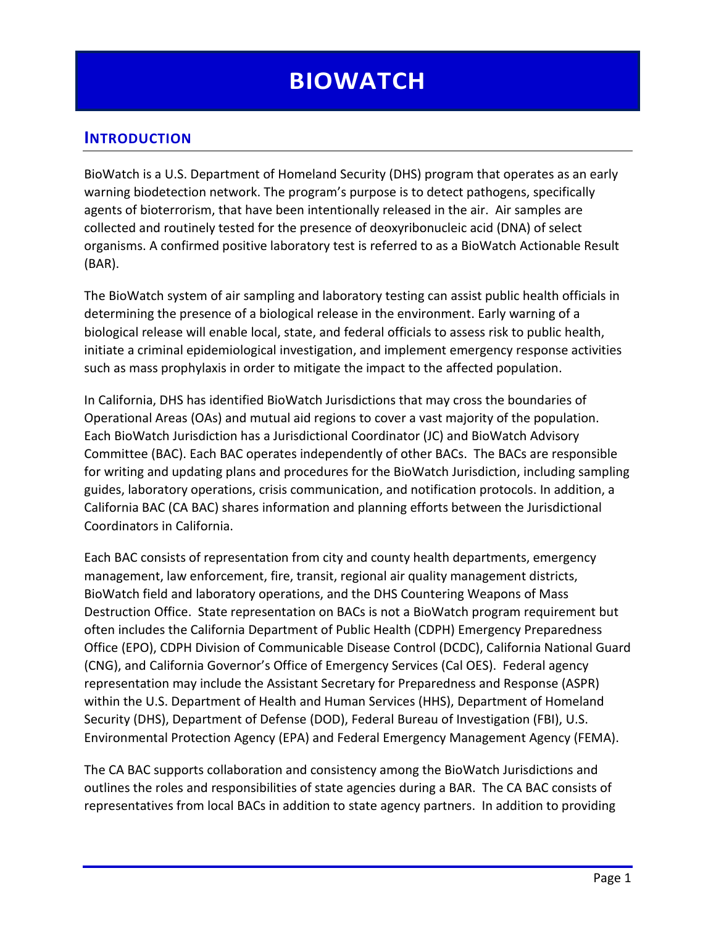# **INTRODUCTION**

BioWatch is a U.S. Department of Homeland Security (DHS) program that operates as an early warning biodetection network. The program's purpose is to detect pathogens, specifically agents of bioterrorism, that have been intentionally released in the air. Air samples are collected and routinely tested for the presence of deoxyribonucleic acid (DNA) of select organisms. A confirmed positive laboratory test is referred to as a BioWatch Actionable Result (BAR).

The BioWatch system of air sampling and laboratory testing can assist public health officials in determining the presence of a biological release in the environment. Early warning of a biological release will enable local, state, and federal officials to assess risk to public health, initiate a criminal epidemiological investigation, and implement emergency response activities such as mass prophylaxis in order to mitigate the impact to the affected population.

In California, DHS has identified BioWatch Jurisdictions that may cross the boundaries of Operational Areas (OAs) and mutual aid regions to cover a vast majority of the population. Each BioWatch Jurisdiction has a Jurisdictional Coordinator (JC) and BioWatch Advisory Committee (BAC). Each BAC operates independently of other BACs. The BACs are responsible for writing and updating plans and procedures for the BioWatch Jurisdiction, including sampling guides, laboratory operations, crisis communication, and notification protocols. In addition, a California BAC (CA BAC) shares information and planning efforts between the Jurisdictional Coordinators in California.

Each BAC consists of representation from city and county health departments, emergency management, law enforcement, fire, transit, regional air quality management districts, BioWatch field and laboratory operations, and the DHS Countering Weapons of Mass Destruction Office. State representation on BACs is not a BioWatch program requirement but often includes the California Department of Public Health (CDPH) Emergency Preparedness Office (EPO), CDPH Division of Communicable Disease Control (DCDC), California National Guard (CNG), and California Governor's Office of Emergency Services (Cal OES). Federal agency representation may include the Assistant Secretary for Preparedness and Response (ASPR) within the U.S. Department of Health and Human Services (HHS), Department of Homeland Security (DHS), Department of Defense (DOD), Federal Bureau of Investigation (FBI), U.S. Environmental Protection Agency (EPA) and Federal Emergency Management Agency (FEMA).

The CA BAC supports collaboration and consistency among the BioWatch Jurisdictions and outlines the roles and responsibilities of state agencies during a BAR. The CA BAC consists of representatives from local BACs in addition to state agency partners. In addition to providing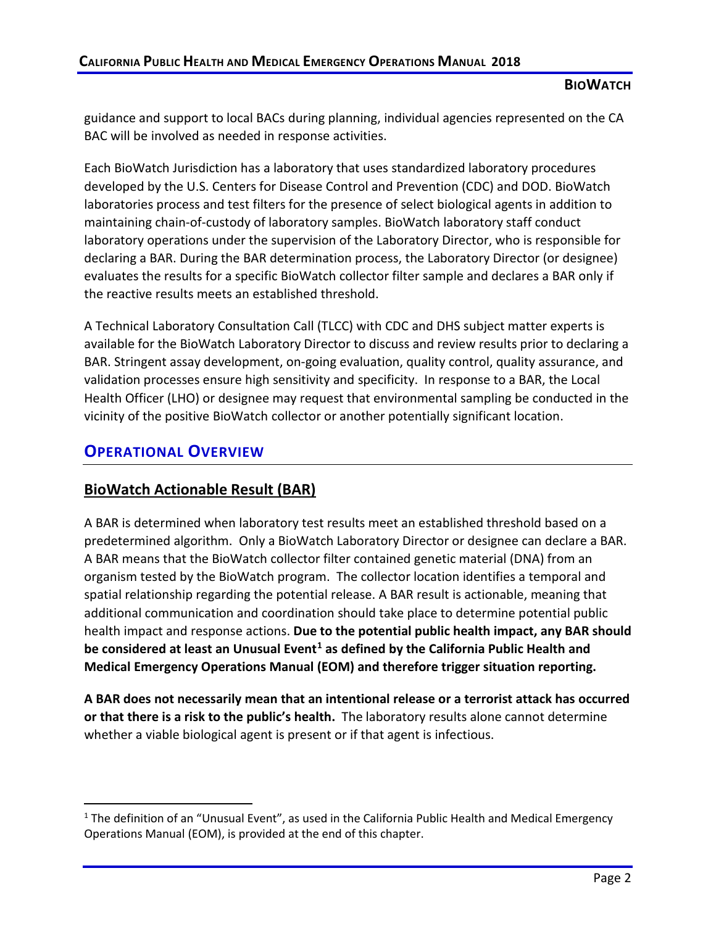guidance and support to local BACs during planning, individual agencies represented on the CA BAC will be involved as needed in response activities.

Each BioWatch Jurisdiction has a laboratory that uses standardized laboratory procedures developed by the U.S. Centers for Disease Control and Prevention (CDC) and DOD. BioWatch laboratories process and test filters for the presence of select biological agents in addition to maintaining chain-of-custody of laboratory samples. BioWatch laboratory staff conduct laboratory operations under the supervision of the Laboratory Director, who is responsible for declaring a BAR. During the BAR determination process, the Laboratory Director (or designee) evaluates the results for a specific BioWatch collector filter sample and declares a BAR only if the reactive results meets an established threshold.

A Technical Laboratory Consultation Call (TLCC) with CDC and DHS subject matter experts is available for the BioWatch Laboratory Director to discuss and review results prior to declaring a BAR. Stringent assay development, on-going evaluation, quality control, quality assurance, and validation processes ensure high sensitivity and specificity. In response to a BAR, the Local Health Officer (LHO) or designee may request that environmental sampling be conducted in the vicinity of the positive BioWatch collector or another potentially significant location.

# **OPERATIONAL OVERVIEW**

# **BioWatch Actionable Result (BAR)**

A BAR is determined when laboratory test results meet an established threshold based on a predetermined algorithm. Only a BioWatch Laboratory Director or designee can declare a BAR. A BAR means that the BioWatch collector filter contained genetic material (DNA) from an organism tested by the BioWatch program. The collector location identifies a temporal and spatial relationship regarding the potential release. A BAR result is actionable, meaning that additional communication and coordination should take place to determine potential public health impact and response actions. **Due to the potential public health impact, any BAR should be considered at least an Unusual Even[t1](#page-1-0) as defined by the California Public Health and Medical Emergency Operations Manual (EOM) and therefore trigger situation reporting.**

**A BAR does not necessarily mean that an intentional release or a terrorist attack has occurred or that there is a risk to the public's health.** The laboratory results alone cannot determine whether a viable biological agent is present or if that agent is infectious.

<span id="page-1-0"></span><sup>&</sup>lt;sup>1</sup> The definition of an "Unusual Event", as used in the California Public Health and Medical Emergency Operations Manual (EOM), is provided at the end of this chapter.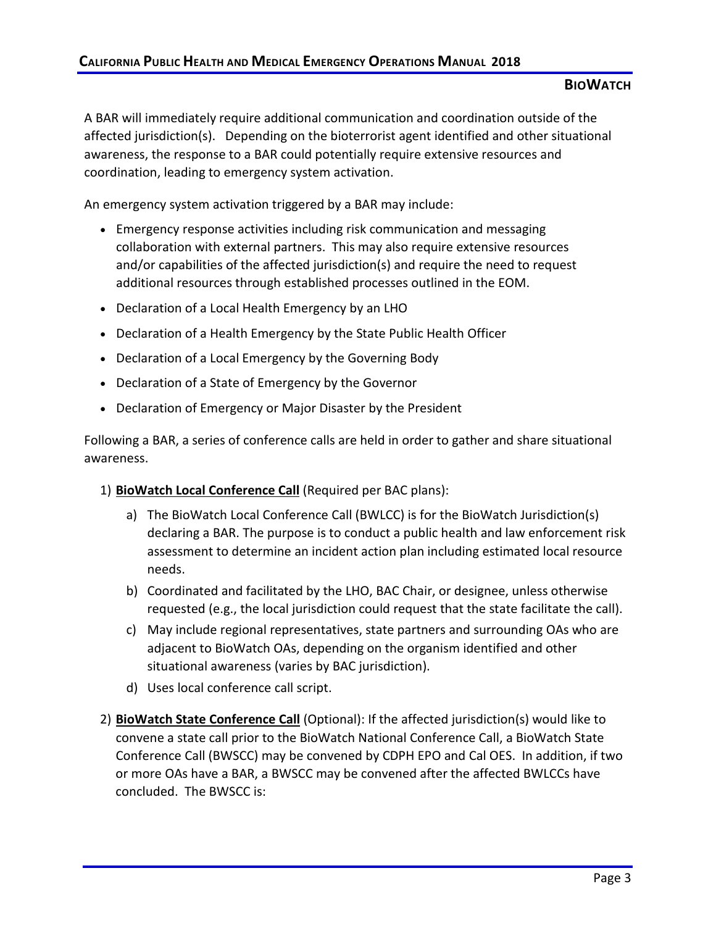A BAR will immediately require additional communication and coordination outside of the affected jurisdiction(s). Depending on the bioterrorist agent identified and other situational awareness, the response to a BAR could potentially require extensive resources and coordination, leading to emergency system activation.

An emergency system activation triggered by a BAR may include:

- Emergency response activities including risk communication and messaging collaboration with external partners. This may also require extensive resources and/or capabilities of the affected jurisdiction(s) and require the need to request additional resources through established processes outlined in the EOM.
- Declaration of a Local Health Emergency by an LHO
- Declaration of a Health Emergency by the State Public Health Officer
- Declaration of a Local Emergency by the Governing Body
- Declaration of a State of Emergency by the Governor
- Declaration of Emergency or Major Disaster by the President

Following a BAR, a series of conference calls are held in order to gather and share situational awareness.

- 1) **BioWatch Local Conference Call** (Required per BAC plans):
	- a) The BioWatch Local Conference Call (BWLCC) is for the BioWatch Jurisdiction(s) declaring a BAR. The purpose is to conduct a public health and law enforcement risk assessment to determine an incident action plan including estimated local resource needs.
	- b) Coordinated and facilitated by the LHO, BAC Chair, or designee, unless otherwise requested (e.g., the local jurisdiction could request that the state facilitate the call).
	- c) May include regional representatives, state partners and surrounding OAs who are adjacent to BioWatch OAs, depending on the organism identified and other situational awareness (varies by BAC jurisdiction).
	- d) Uses local conference call script.
- 2) **BioWatch State Conference Call** (Optional): If the affected jurisdiction(s) would like to convene a state call prior to the BioWatch National Conference Call, a BioWatch State Conference Call (BWSCC) may be convened by CDPH EPO and Cal OES. In addition, if two or more OAs have a BAR, a BWSCC may be convened after the affected BWLCCs have concluded. The BWSCC is: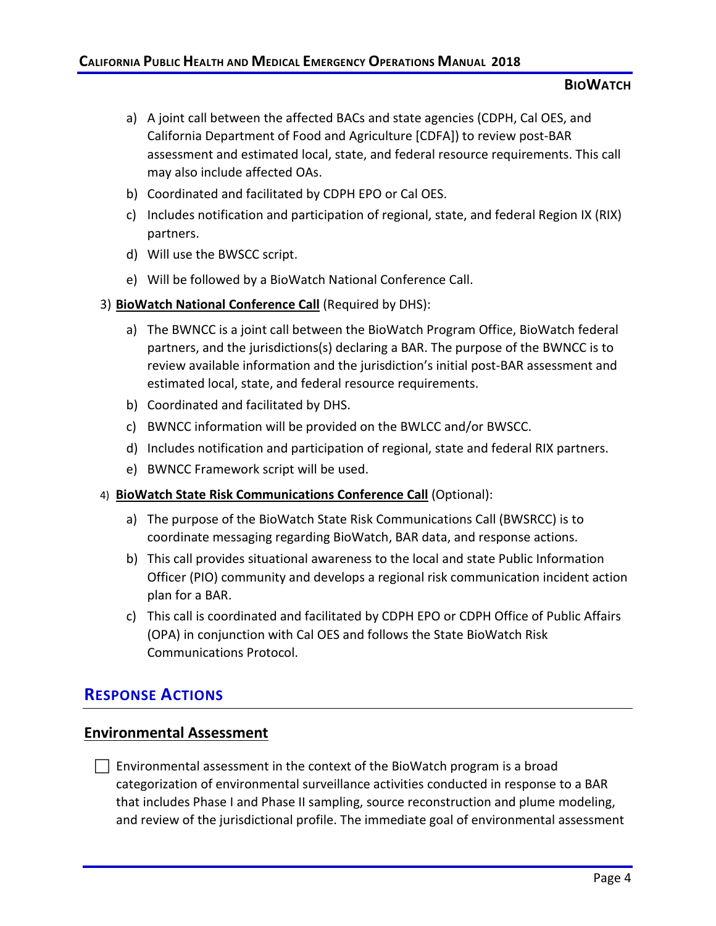- a) A joint call between the affected BACs and state agencies (CDPH, Cal OES, and California Department of Food and Agriculture [CDFA]) to review post-BAR assessment and estimated local, state, and federal resource requirements. This call may also include affected OAs.
- b) Coordinated and facilitated by CDPH EPO or Cal OES.
- c) Includes notification and participation of regional, state, and federal Region IX (RIX) partners.
- d) Will use the BWSCC script.
- e) Will be followed by a BioWatch National Conference Call.
- 3) **BioWatch National Conference Call** (Required by DHS):
	- a) The BWNCC is a joint call between the BioWatch Program Office, BioWatch federal partners, and the jurisdictions(s) declaring a BAR. The purpose of the BWNCC is to review available information and the jurisdiction's initial post-BAR assessment and estimated local, state, and federal resource requirements.
	- b) Coordinated and facilitated by DHS.
	- c) BWNCC information will be provided on the BWLCC and/or BWSCC.
	- d) Includes notification and participation of regional, state and federal RIX partners.
	- e) BWNCC Framework script will be used.

#### 4) **BioWatch State Risk Communications Conference Call** (Optional):

- a) The purpose of the BioWatch State Risk Communications Call (BWSRCC) is to coordinate messaging regarding BioWatch, BAR data, and response actions.
- b) This call provides situational awareness to the local and state Public Information Officer (PIO) community and develops a regional risk communication incident action plan for a BAR.
- c) This call is coordinated and facilitated by CDPH EPO or CDPH Office of Public Affairs (OPA) in conjunction with Cal OES and follows the State BioWatch Risk Communications Protocol.

# **RESPONSE ACTIONS**

### **Environmental Assessment**

 $\Box$  Environmental assessment in the context of the BioWatch program is a broad categorization of environmental surveillance activities conducted in response to a BAR that includes Phase I and Phase II sampling, source reconstruction and plume modeling, and review of the jurisdictional profile. The immediate goal of environmental assessment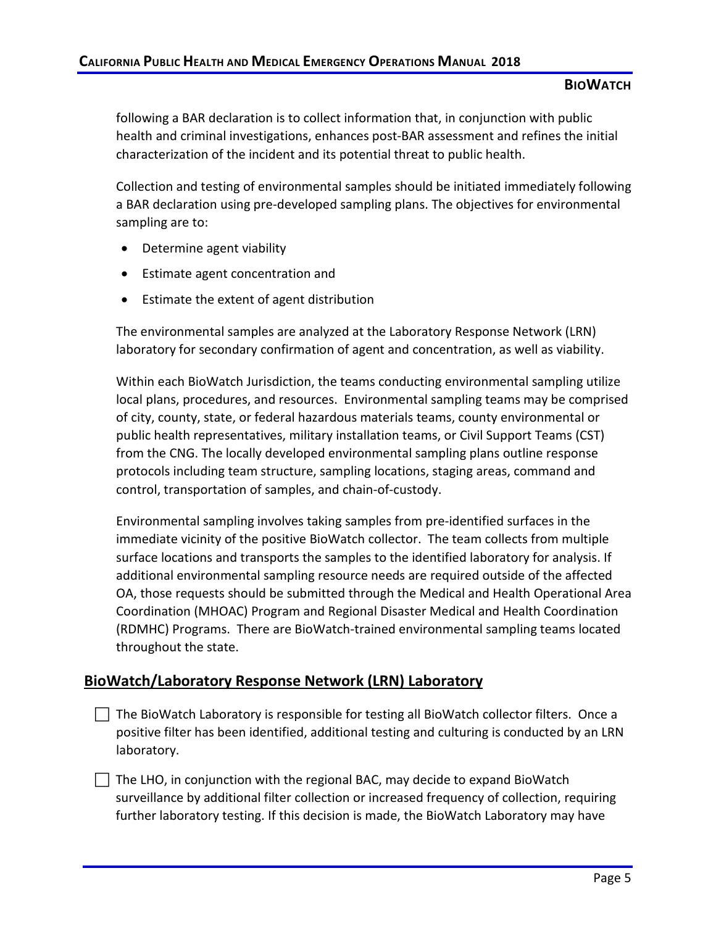following a BAR declaration is to collect information that, in conjunction with public health and criminal investigations, enhances post-BAR assessment and refines the initial characterization of the incident and its potential threat to public health.

Collection and testing of environmental samples should be initiated immediately following a BAR declaration using pre-developed sampling plans. The objectives for environmental sampling are to:

- Determine agent viability
- Estimate agent concentration and
- Estimate the extent of agent distribution

The environmental samples are analyzed at the Laboratory Response Network (LRN) laboratory for secondary confirmation of agent and concentration, as well as viability.

Within each BioWatch Jurisdiction, the teams conducting environmental sampling utilize local plans, procedures, and resources. Environmental sampling teams may be comprised of city, county, state, or federal hazardous materials teams, county environmental or public health representatives, military installation teams, or Civil Support Teams (CST) from the CNG. The locally developed environmental sampling plans outline response protocols including team structure, sampling locations, staging areas, command and control, transportation of samples, and chain-of-custody.

Environmental sampling involves taking samples from pre-identified surfaces in the immediate vicinity of the positive BioWatch collector. The team collects from multiple surface locations and transports the samples to the identified laboratory for analysis. If additional environmental sampling resource needs are required outside of the affected OA, those requests should be submitted through the Medical and Health Operational Area Coordination (MHOAC) Program and Regional Disaster Medical and Health Coordination (RDMHC) Programs. There are BioWatch-trained environmental sampling teams located throughout the state.

## **BioWatch/Laboratory Response Network (LRN) Laboratory**

 $\Box$  The BioWatch Laboratory is responsible for testing all BioWatch collector filters. Once a positive filter has been identified, additional testing and culturing is conducted by an LRN laboratory.

 The LHO, in conjunction with the regional BAC, may decide to expand BioWatch surveillance by additional filter collection or increased frequency of collection, requiring further laboratory testing. If this decision is made, the BioWatch Laboratory may have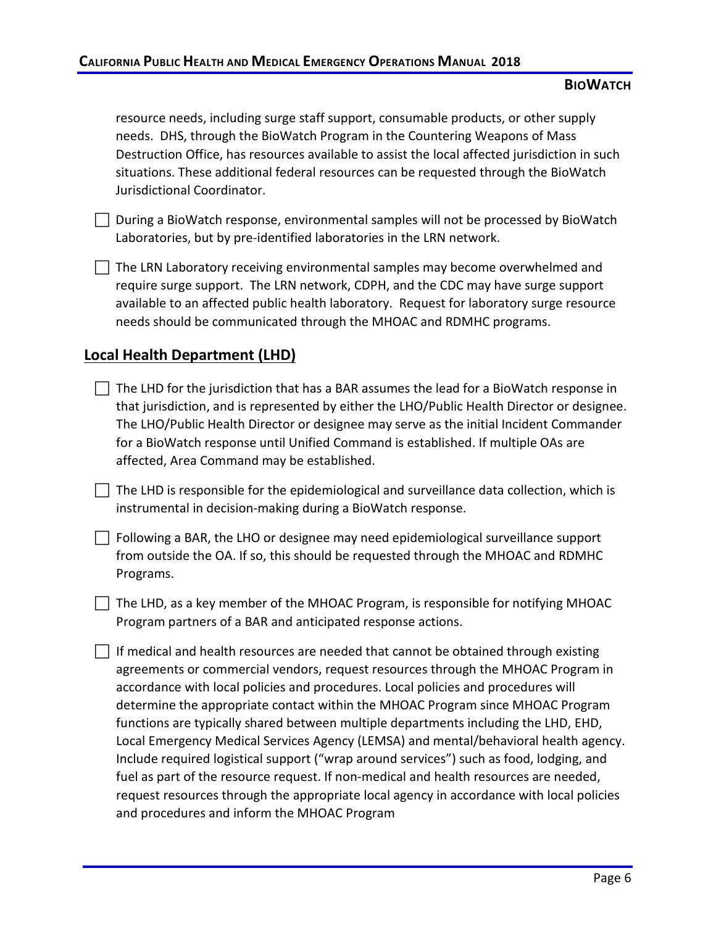resource needs, including surge staff support, consumable products, or other supply needs. DHS, through the BioWatch Program in the Countering Weapons of Mass Destruction Office, has resources available to assist the local affected jurisdiction in such situations. These additional federal resources can be requested through the BioWatch Jurisdictional Coordinator.

- $\Box$  During a BioWatch response, environmental samples will not be processed by BioWatch Laboratories, but by pre-identified laboratories in the LRN network.
- $\Box$  The LRN Laboratory receiving environmental samples may become overwhelmed and require surge support. The LRN network, CDPH, and the CDC may have surge support available to an affected public health laboratory. Request for laboratory surge resource needs should be communicated through the MHOAC and RDMHC programs.

# **Local Health Department (LHD)**

- $\Box$  The LHD for the jurisdiction that has a BAR assumes the lead for a BioWatch response in that jurisdiction, and is represented by either the LHO/Public Health Director or designee. The LHO/Public Health Director or designee may serve as the initial Incident Commander for a BioWatch response until Unified Command is established. If multiple OAs are affected, Area Command may be established.
- $\Box$  The LHD is responsible for the epidemiological and surveillance data collection, which is instrumental in decision-making during a BioWatch response.
- $\Box$  Following a BAR, the LHO or designee may need epidemiological surveillance support from outside the OA. If so, this should be requested through the MHOAC and RDMHC Programs.
- $\Box$  The LHD, as a key member of the MHOAC Program, is responsible for notifying MHOAC Program partners of a BAR and anticipated response actions.
- $\vert \ \vert$  If medical and health resources are needed that cannot be obtained through existing agreements or commercial vendors, request resources through the MHOAC Program in accordance with local policies and procedures. Local policies and procedures will determine the appropriate contact within the MHOAC Program since MHOAC Program functions are typically shared between multiple departments including the LHD, EHD, Local Emergency Medical Services Agency (LEMSA) and mental/behavioral health agency. Include required logistical support ("wrap around services") such as food, lodging, and fuel as part of the resource request. If non-medical and health resources are needed, request resources through the appropriate local agency in accordance with local policies and procedures and inform the MHOAC Program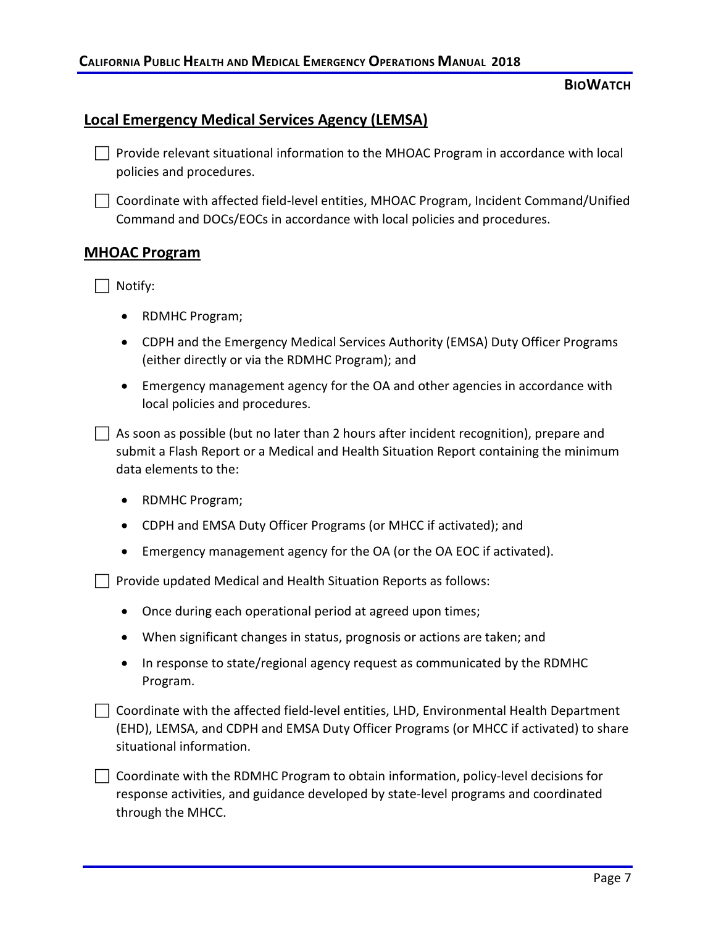### **Local Emergency Medical Services Agency (LEMSA)**

- $\Box$  Provide relevant situational information to the MHOAC Program in accordance with local policies and procedures.
- $\Box$  Coordinate with affected field-level entities, MHOAC Program, Incident Command/Unified Command and DOCs/EOCs in accordance with local policies and procedures.

### **MHOAC Program**

Notify:

- RDMHC Program;
- CDPH and the Emergency Medical Services Authority (EMSA) Duty Officer Programs (either directly or via the RDMHC Program); and
- Emergency management agency for the OA and other agencies in accordance with local policies and procedures.
- $\Box$  As soon as possible (but no later than 2 hours after incident recognition), prepare and submit a Flash Report or a Medical and Health Situation Report containing the minimum data elements to the:
	- RDMHC Program;
	- CDPH and EMSA Duty Officer Programs (or MHCC if activated); and
	- Emergency management agency for the OA (or the OA EOC if activated).

 $\Box$  Provide updated Medical and Health Situation Reports as follows:

- Once during each operational period at agreed upon times;
- When significant changes in status, prognosis or actions are taken; and
- In response to state/regional agency request as communicated by the RDMHC Program.
- $\Box$  Coordinate with the affected field-level entities, LHD, Environmental Health Department (EHD), LEMSA, and CDPH and EMSA Duty Officer Programs (or MHCC if activated) to share situational information.
- $\Box$  Coordinate with the RDMHC Program to obtain information, policy-level decisions for response activities, and guidance developed by state-level programs and coordinated through the MHCC.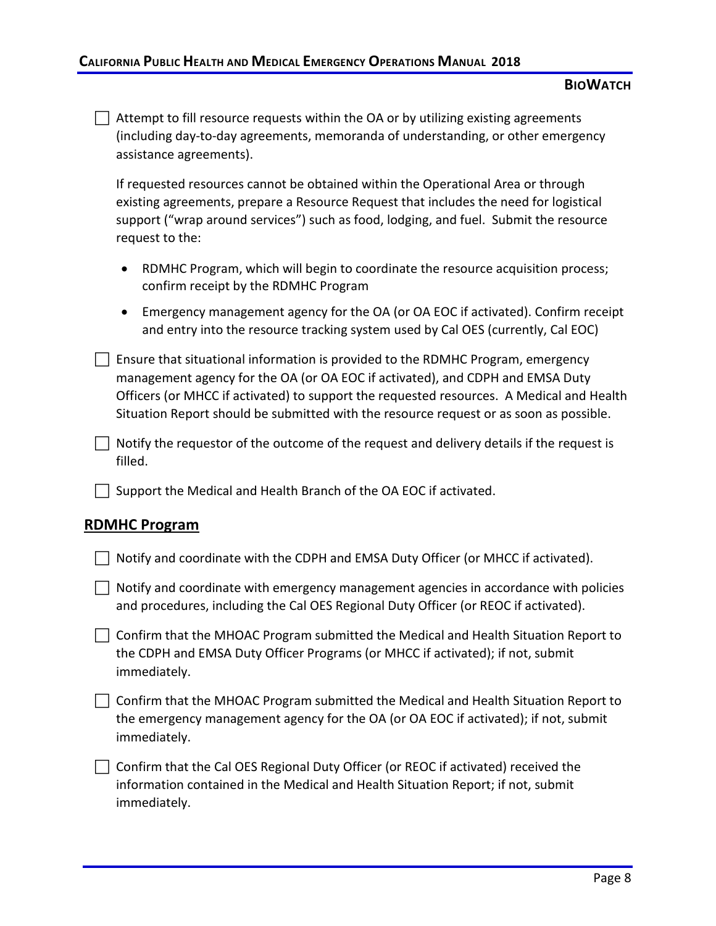$\Box$  Attempt to fill resource requests within the OA or by utilizing existing agreements (including day-to-day agreements, memoranda of understanding, or other emergency assistance agreements).

If requested resources cannot be obtained within the Operational Area or through existing agreements, prepare a Resource Request that includes the need for logistical support ("wrap around services") such as food, lodging, and fuel. Submit the resource request to the:

- RDMHC Program, which will begin to coordinate the resource acquisition process; confirm receipt by the RDMHC Program
- Emergency management agency for the OA (or OA EOC if activated). Confirm receipt and entry into the resource tracking system used by Cal OES (currently, Cal EOC)

 $\Box$  Ensure that situational information is provided to the RDMHC Program, emergency management agency for the OA (or OA EOC if activated), and CDPH and EMSA Duty Officers (or MHCC if activated) to support the requested resources. A Medical and Health Situation Report should be submitted with the resource request or as soon as possible.

 $\Box$  Notify the requestor of the outcome of the request and delivery details if the request is filled.

 $\Box$  Support the Medical and Health Branch of the OA EOC if activated.

#### **RDMHC Program**

| $\perp$ Notify and coordinate with the CDPH and EMSA Duty Officer (or MHCC if activated). |  |
|-------------------------------------------------------------------------------------------|--|
|-------------------------------------------------------------------------------------------|--|

 $\Box$  Notify and coordinate with emergency management agencies in accordance with policies and procedures, including the Cal OES Regional Duty Officer (or REOC if activated).

 Confirm that the MHOAC Program submitted the Medical and Health Situation Report to the CDPH and EMSA Duty Officer Programs (or MHCC if activated); if not, submit immediately.

 $\Box$  Confirm that the MHOAC Program submitted the Medical and Health Situation Report to the emergency management agency for the OA (or OA EOC if activated); if not, submit immediately.

 $\Box$  Confirm that the Cal OES Regional Duty Officer (or REOC if activated) received the information contained in the Medical and Health Situation Report; if not, submit immediately.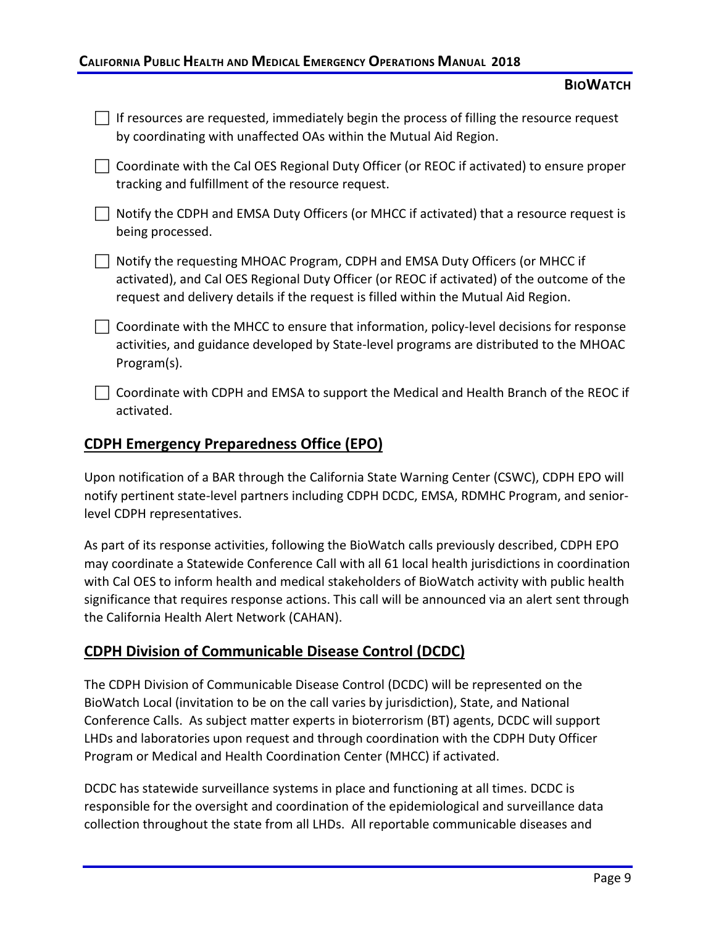### **CALIFORNIA PUBLIC HEALTH AND MEDICAL EMERGENCY OPERATIONS MANUAL 2018**

### **BIOWATCH**

| If resources are requested, immediately begin the process of filling the resource request<br>by coordinating with unaffected OAs within the Mutual Aid Region.                                                                                                    |
|-------------------------------------------------------------------------------------------------------------------------------------------------------------------------------------------------------------------------------------------------------------------|
| Coordinate with the Cal OES Regional Duty Officer (or REOC if activated) to ensure proper<br>tracking and fulfillment of the resource request.                                                                                                                    |
| Notify the CDPH and EMSA Duty Officers (or MHCC if activated) that a resource request is<br>being processed.                                                                                                                                                      |
| Notify the requesting MHOAC Program, CDPH and EMSA Duty Officers (or MHCC if<br>activated), and Cal OES Regional Duty Officer (or REOC if activated) of the outcome of the<br>request and delivery details if the request is filled within the Mutual Aid Region. |
| Coordinate with the MHCC to ensure that information, policy-level decisions for response<br>activities, and guidance developed by State-level programs are distributed to the MHOAC<br>Program(s).                                                                |
| Coordinate with CDPH and EMSA to support the Medical and Health Branch of the REOC if<br>activated.                                                                                                                                                               |

## **CDPH Emergency Preparedness Office (EPO)**

Upon notification of a BAR through the California State Warning Center (CSWC), CDPH EPO will notify pertinent state-level partners including CDPH DCDC, EMSA, RDMHC Program, and seniorlevel CDPH representatives.

As part of its response activities, following the BioWatch calls previously described, CDPH EPO may coordinate a Statewide Conference Call with all 61 local health jurisdictions in coordination with Cal OES to inform health and medical stakeholders of BioWatch activity with public health significance that requires response actions. This call will be announced via an alert sent through the California Health Alert Network (CAHAN).

# **CDPH Division of Communicable Disease Control (DCDC)**

The CDPH Division of Communicable Disease Control (DCDC) will be represented on the BioWatch Local (invitation to be on the call varies by jurisdiction), State, and National Conference Calls. As subject matter experts in bioterrorism (BT) agents, DCDC will support LHDs and laboratories upon request and through coordination with the CDPH Duty Officer Program or Medical and Health Coordination Center (MHCC) if activated.

DCDC has statewide surveillance systems in place and functioning at all times. DCDC is responsible for the oversight and coordination of the epidemiological and surveillance data collection throughout the state from all LHDs. All reportable communicable diseases and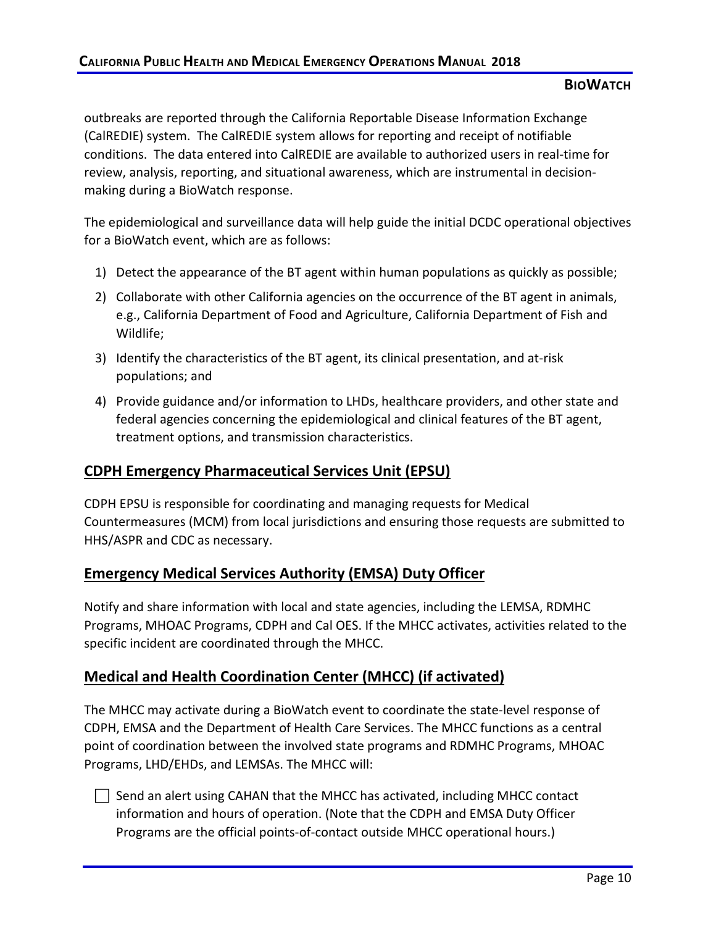outbreaks are reported through the California Reportable Disease Information Exchange (CalREDIE) system. The CalREDIE system allows for reporting and receipt of notifiable conditions. The data entered into CalREDIE are available to authorized users in real-time for review, analysis, reporting, and situational awareness, which are instrumental in decisionmaking during a BioWatch response.

The epidemiological and surveillance data will help guide the initial DCDC operational objectives for a BioWatch event, which are as follows:

- 1) Detect the appearance of the BT agent within human populations as quickly as possible;
- 2) Collaborate with other California agencies on the occurrence of the BT agent in animals, e.g., California Department of Food and Agriculture, California Department of Fish and Wildlife;
- 3) Identify the characteristics of the BT agent, its clinical presentation, and at-risk populations; and
- 4) Provide guidance and/or information to LHDs, healthcare providers, and other state and federal agencies concerning the epidemiological and clinical features of the BT agent, treatment options, and transmission characteristics.

# **CDPH Emergency Pharmaceutical Services Unit (EPSU)**

CDPH EPSU is responsible for coordinating and managing requests for Medical Countermeasures (MCM) from local jurisdictions and ensuring those requests are submitted to HHS/ASPR and CDC as necessary.

# **Emergency Medical Services Authority (EMSA) Duty Officer**

Notify and share information with local and state agencies, including the LEMSA, RDMHC Programs, MHOAC Programs, CDPH and Cal OES. If the MHCC activates, activities related to the specific incident are coordinated through the MHCC.

# **Medical and Health Coordination Center (MHCC) (if activated)**

The MHCC may activate during a BioWatch event to coordinate the state-level response of CDPH, EMSA and the Department of Health Care Services. The MHCC functions as a central point of coordination between the involved state programs and RDMHC Programs, MHOAC Programs, LHD/EHDs, and LEMSAs. The MHCC will:

 $\Box$  Send an alert using CAHAN that the MHCC has activated, including MHCC contact information and hours of operation. (Note that the CDPH and EMSA Duty Officer Programs are the official points-of-contact outside MHCC operational hours.)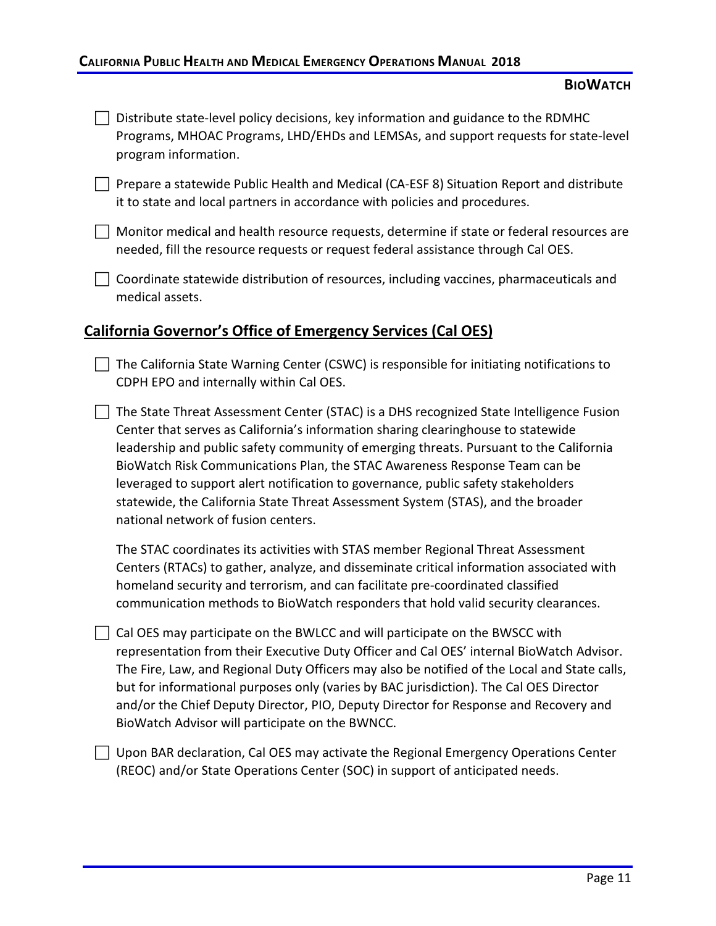- $\Box$  Distribute state-level policy decisions, key information and guidance to the RDMHC Programs, MHOAC Programs, LHD/EHDs and LEMSAs, and support requests for state-level program information.
- **Prepare a statewide Public Health and Medical (CA-ESF 8) Situation Report and distribute** it to state and local partners in accordance with policies and procedures.
- $\Box$  Monitor medical and health resource requests, determine if state or federal resources are needed, fill the resource requests or request federal assistance through Cal OES.
- $\Box$  Coordinate statewide distribution of resources, including vaccines, pharmaceuticals and medical assets.

### **California Governor's Office of Emergency Services (Cal OES)**

- $\Box$  The California State Warning Center (CSWC) is responsible for initiating notifications to CDPH EPO and internally within Cal OES.
- $\Box$  The State Threat Assessment Center (STAC) is a DHS recognized State Intelligence Fusion Center that serves as California's information sharing clearinghouse to statewide leadership and public safety community of emerging threats. Pursuant to the California BioWatch Risk Communications Plan, the STAC Awareness Response Team can be leveraged to support alert notification to governance, public safety stakeholders statewide, the California State Threat Assessment System (STAS), and the broader national network of fusion centers.

The STAC coordinates its activities with STAS member Regional Threat Assessment Centers (RTACs) to gather, analyze, and disseminate critical information associated with homeland security and terrorism, and can facilitate pre-coordinated classified communication methods to BioWatch responders that hold valid security clearances.

- $\Box$  Cal OES may participate on the BWLCC and will participate on the BWSCC with representation from their Executive Duty Officer and Cal OES' internal BioWatch Advisor. The Fire, Law, and Regional Duty Officers may also be notified of the Local and State calls, but for informational purposes only (varies by BAC jurisdiction). The Cal OES Director and/or the Chief Deputy Director, PIO, Deputy Director for Response and Recovery and BioWatch Advisor will participate on the BWNCC.
- $\Box$  Upon BAR declaration, Cal OES may activate the Regional Emergency Operations Center (REOC) and/or State Operations Center (SOC) in support of anticipated needs.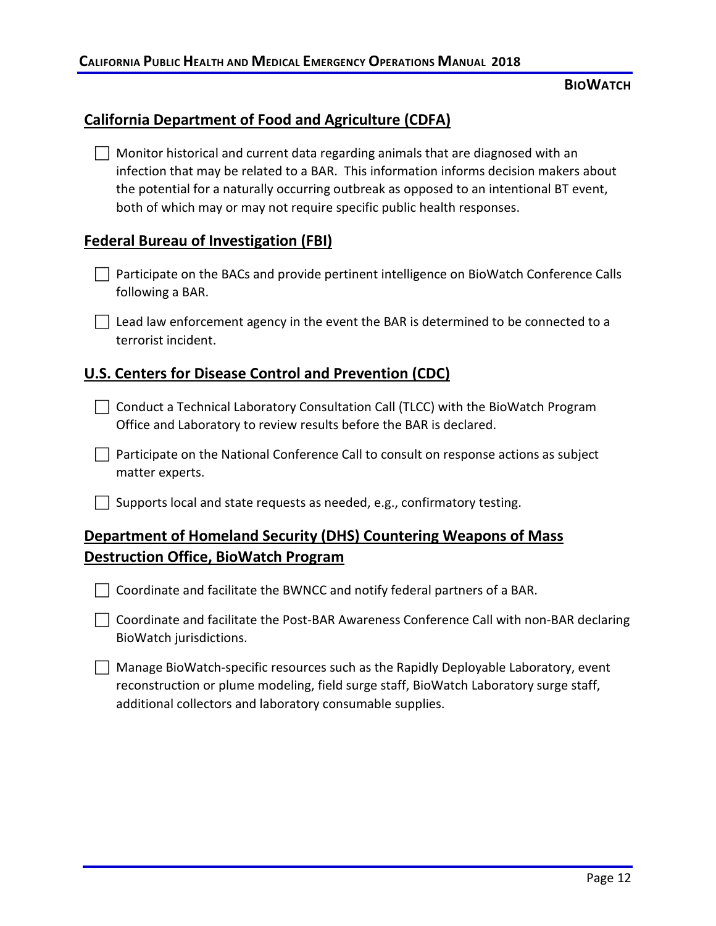### **California Department of Food and Agriculture (CDFA)**

 $\Box$  Monitor historical and current data regarding animals that are diagnosed with an infection that may be related to a BAR. This information informs decision makers about the potential for a naturally occurring outbreak as opposed to an intentional BT event, both of which may or may not require specific public health responses.

### **Federal Bureau of Investigation (FBI)**

**Participate on the BACs and provide pertinent intelligence on BioWatch Conference Calls** following a BAR.

 $\Box$  Lead law enforcement agency in the event the BAR is determined to be connected to a terrorist incident.

### **U.S. Centers for Disease Control and Prevention (CDC)**

 $\Box$  Conduct a Technical Laboratory Consultation Call (TLCC) with the BioWatch Program Office and Laboratory to review results before the BAR is declared.

 $\Box$  Participate on the National Conference Call to consult on response actions as subject matter experts.

 $\Box$  Supports local and state requests as needed, e.g., confirmatory testing.

# **Department of Homeland Security (DHS) Countering Weapons of Mass Destruction Office, BioWatch Program**

 $\Box$  Coordinate and facilitate the BWNCC and notify federal partners of a BAR.

◯ Coordinate and facilitate the Post-BAR Awareness Conference Call with non-BAR declaring BioWatch jurisdictions.

 $\Box$  Manage BioWatch-specific resources such as the Rapidly Deployable Laboratory, event reconstruction or plume modeling, field surge staff, BioWatch Laboratory surge staff, additional collectors and laboratory consumable supplies.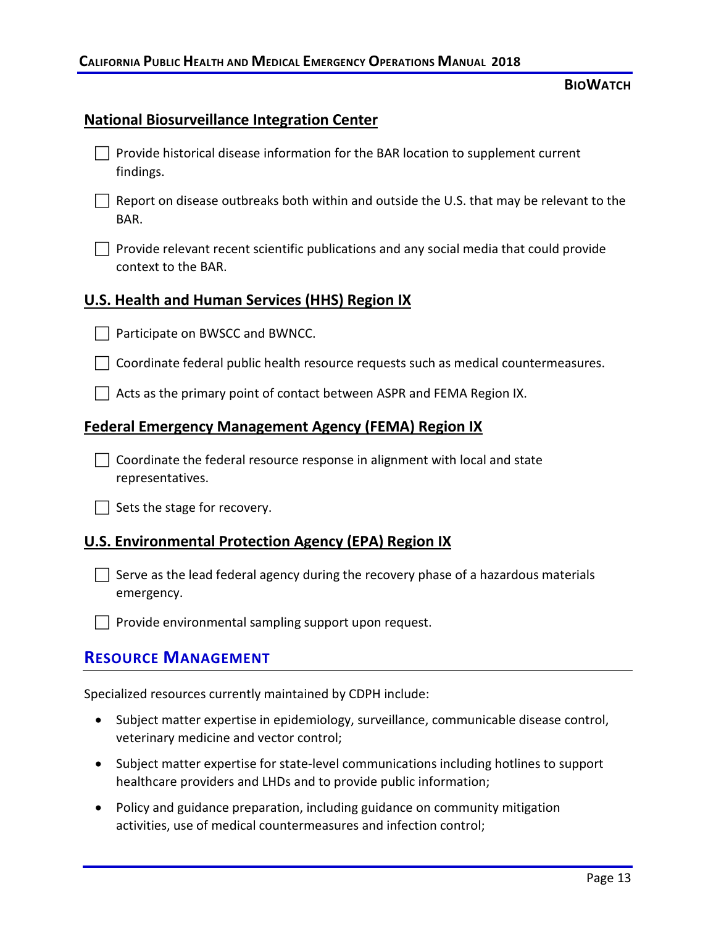### **National Biosurveillance Integration Center**

| $\Box$ Provide historical disease information for the BAR location to supplement current |
|------------------------------------------------------------------------------------------|
| findings.                                                                                |

- $\Box$  Report on disease outbreaks both within and outside the U.S. that may be relevant to the BAR.
- $\Box$  Provide relevant recent scientific publications and any social media that could provide context to the BAR.

#### **U.S. Health and Human Services (HHS) Region IX**

- □ Participate on BWSCC and BWNCC.
- $\Box$  Coordinate federal public health resource requests such as medical countermeasures.
- $\Box$  Acts as the primary point of contact between ASPR and FEMA Region IX.

### **Federal Emergency Management Agency (FEMA) Region IX**

 $\Box$  Coordinate the federal resource response in alignment with local and state representatives.

 $\Box$  Sets the stage for recovery.

#### **U.S. Environmental Protection Agency (EPA) Region IX**

 $\Box$  Serve as the lead federal agency during the recovery phase of a hazardous materials emergency.

 $\Box$  Provide environmental sampling support upon request.

### **RESOURCE MANAGEMENT**

Specialized resources currently maintained by CDPH include:

- Subject matter expertise in epidemiology, surveillance, communicable disease control, veterinary medicine and vector control;
- Subject matter expertise for state-level communications including hotlines to support healthcare providers and LHDs and to provide public information;
- Policy and guidance preparation, including guidance on community mitigation activities, use of medical countermeasures and infection control;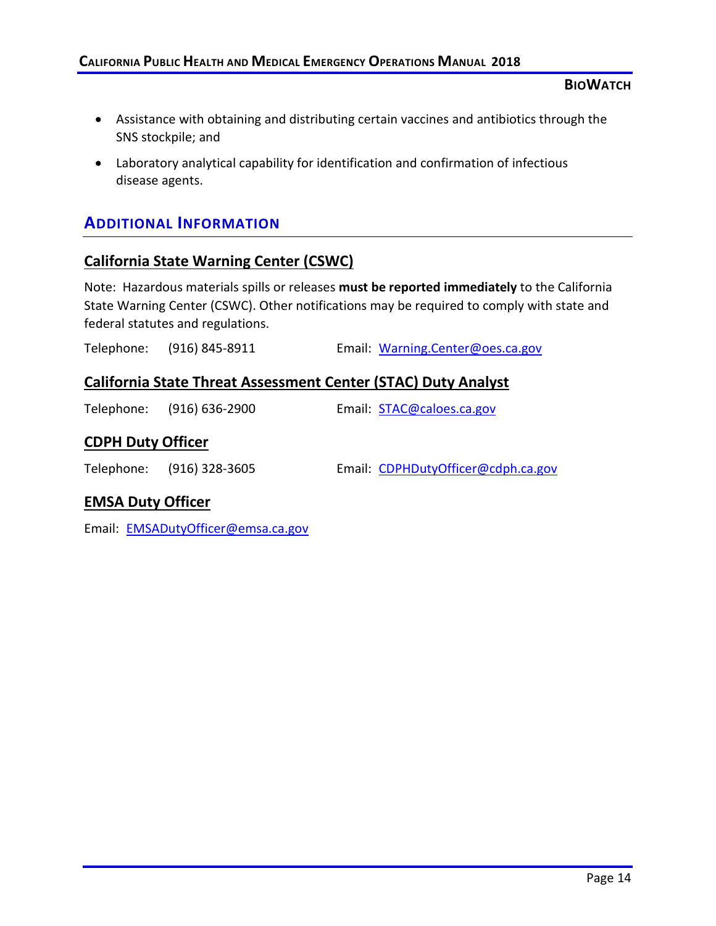- Assistance with obtaining and distributing certain vaccines and antibiotics through the SNS stockpile; and
- Laboratory analytical capability for identification and confirmation of infectious disease agents.

# **ADDITIONAL INFORMATION**

### **California State Warning Center (CSWC)**

Note: Hazardous materials spills or releases **must be reported immediately** to the California State Warning Center (CSWC). Other notifications may be required to comply with state and federal statutes and regulations.

Telephone: (916) 845-8911 Email: [Warning.Center@oes.ca.gov](mailto:Warning.Center@oes.ca.gov)

### **California State Threat Assessment Center (STAC) Duty Analyst**

|                          | Telephone: (916) 636-2900 | Email: STAC@caloes.ca.gov          |
|--------------------------|---------------------------|------------------------------------|
| <b>CDPH Duty Officer</b> |                           |                                    |
|                          | Telephone: (916) 328-3605 | Email: CDPHDutyOfficer@cdph.ca.gov |

# **EMSA Duty Officer**

Email: [EMSADutyOfficer@emsa.ca.gov](mailto:EMSADutyOfficer@emsa.ca.gov)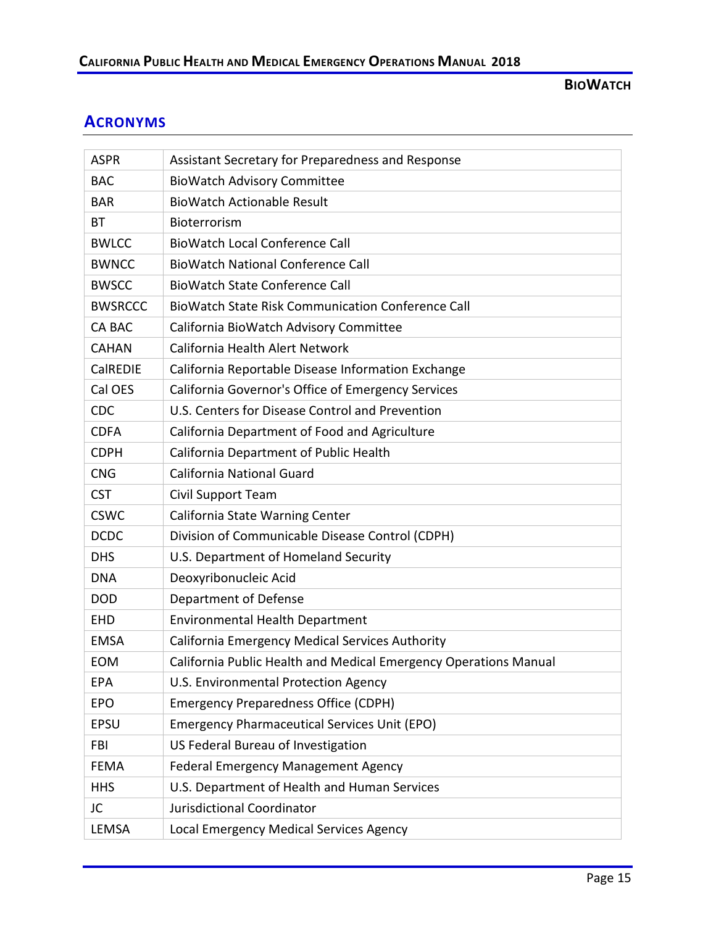# **ACRONYMS**

| <b>ASPR</b>    | Assistant Secretary for Preparedness and Response                |
|----------------|------------------------------------------------------------------|
| <b>BAC</b>     | <b>BioWatch Advisory Committee</b>                               |
| <b>BAR</b>     | <b>BioWatch Actionable Result</b>                                |
| <b>BT</b>      | Bioterrorism                                                     |
| <b>BWLCC</b>   | <b>BioWatch Local Conference Call</b>                            |
| <b>BWNCC</b>   | <b>BioWatch National Conference Call</b>                         |
| <b>BWSCC</b>   | <b>BioWatch State Conference Call</b>                            |
| <b>BWSRCCC</b> | <b>BioWatch State Risk Communication Conference Call</b>         |
| <b>CA BAC</b>  | California BioWatch Advisory Committee                           |
| <b>CAHAN</b>   | California Health Alert Network                                  |
| CalREDIE       | California Reportable Disease Information Exchange               |
| Cal OES        | California Governor's Office of Emergency Services               |
| <b>CDC</b>     | U.S. Centers for Disease Control and Prevention                  |
| <b>CDFA</b>    | California Department of Food and Agriculture                    |
| <b>CDPH</b>    | California Department of Public Health                           |
| <b>CNG</b>     | <b>California National Guard</b>                                 |
| <b>CST</b>     | Civil Support Team                                               |
| <b>CSWC</b>    | California State Warning Center                                  |
| <b>DCDC</b>    | Division of Communicable Disease Control (CDPH)                  |
| <b>DHS</b>     | U.S. Department of Homeland Security                             |
| <b>DNA</b>     | Deoxyribonucleic Acid                                            |
| <b>DOD</b>     | Department of Defense                                            |
| <b>EHD</b>     | <b>Environmental Health Department</b>                           |
| <b>EMSA</b>    | California Emergency Medical Services Authority                  |
| EOM            | California Public Health and Medical Emergency Operations Manual |
| EPA            | U.S. Environmental Protection Agency                             |
| <b>EPO</b>     | <b>Emergency Preparedness Office (CDPH)</b>                      |
| <b>EPSU</b>    | <b>Emergency Pharmaceutical Services Unit (EPO)</b>              |
| <b>FBI</b>     | US Federal Bureau of Investigation                               |
| <b>FEMA</b>    | <b>Federal Emergency Management Agency</b>                       |
| <b>HHS</b>     | U.S. Department of Health and Human Services                     |
| JC             | Jurisdictional Coordinator                                       |
| LEMSA          | Local Emergency Medical Services Agency                          |